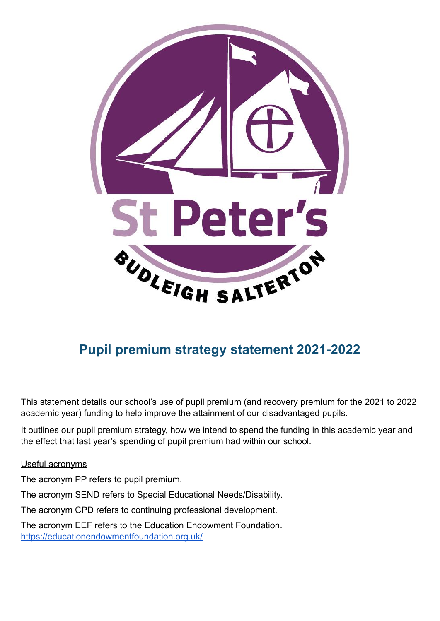

# **Pupil premium strategy statement 2021-2022**

This statement details our school's use of pupil premium (and recovery premium for the 2021 to 2022 academic year) funding to help improve the attainment of our disadvantaged pupils.

It outlines our pupil premium strategy, how we intend to spend the funding in this academic year and the effect that last year's spending of pupil premium had within our school.

Useful acronyms

The acronym PP refers to pupil premium.

The acronym SEND refers to Special Educational Needs/Disability.

The acronym CPD refers to continuing professional development.

The acronym EEF refers to the Education Endowment Foundation. [https://educationendowmentfoundation.org.uk/](https://educationendowmentfoundation.org.uk/.)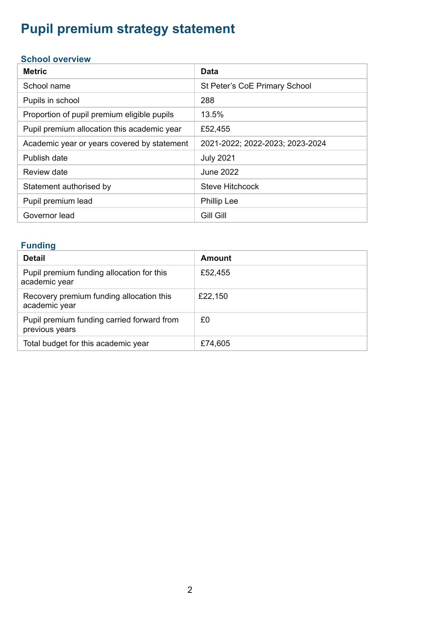# **Pupil premium strategy statement**

#### **School overview**

| <b>Metric</b>                               | <b>Data</b>                     |
|---------------------------------------------|---------------------------------|
| School name                                 | St Peter's CoE Primary School   |
| Pupils in school                            | 288                             |
| Proportion of pupil premium eligible pupils | 13.5%                           |
| Pupil premium allocation this academic year | £52,455                         |
| Academic year or years covered by statement | 2021-2022; 2022-2023; 2023-2024 |
| Publish date                                | <b>July 2021</b>                |
| Review date                                 | June 2022                       |
| Statement authorised by                     | Steve Hitchcock                 |
| Pupil premium lead                          | <b>Phillip Lee</b>              |
| Governor lead                               | <b>Gill Gill</b>                |

#### **Funding**

| <b>Detail</b>                                                | Amount  |
|--------------------------------------------------------------|---------|
| Pupil premium funding allocation for this<br>academic year   | £52,455 |
| Recovery premium funding allocation this<br>academic year    | £22,150 |
| Pupil premium funding carried forward from<br>previous years | £0      |
| Total budget for this academic year                          | £74,605 |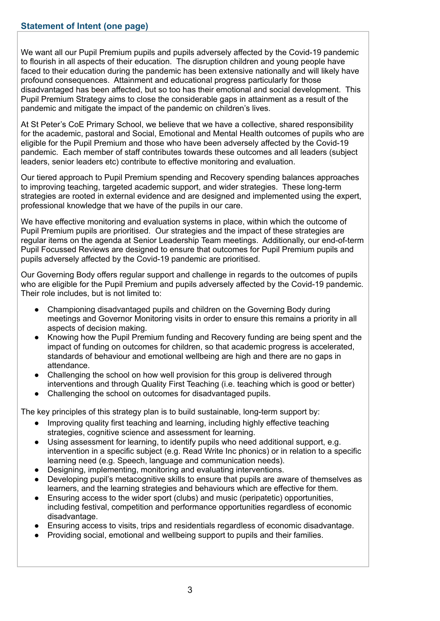We want all our Pupil Premium pupils and pupils adversely affected by the Covid-19 pandemic to flourish in all aspects of their education. The disruption children and young people have faced to their education during the pandemic has been extensive nationally and will likely have profound consequences. Attainment and educational progress particularly for those disadvantaged has been affected, but so too has their emotional and social development. This Pupil Premium Strategy aims to close the considerable gaps in attainment as a result of the pandemic and mitigate the impact of the pandemic on children's lives.

At St Peter's CoE Primary School, we believe that we have a collective, shared responsibility for the academic, pastoral and Social, Emotional and Mental Health outcomes of pupils who are eligible for the Pupil Premium and those who have been adversely affected by the Covid-19 pandemic. Each member of staff contributes towards these outcomes and all leaders (subject leaders, senior leaders etc) contribute to effective monitoring and evaluation.

Our tiered approach to Pupil Premium spending and Recovery spending balances approaches to improving teaching, targeted academic support, and wider strategies. These long-term strategies are rooted in external evidence and are designed and implemented using the expert, professional knowledge that we have of the pupils in our care.

We have effective monitoring and evaluation systems in place, within which the outcome of Pupil Premium pupils are prioritised. Our strategies and the impact of these strategies are regular items on the agenda at Senior Leadership Team meetings. Additionally, our end-of-term Pupil Focussed Reviews are designed to ensure that outcomes for Pupil Premium pupils and pupils adversely affected by the Covid-19 pandemic are prioritised.

Our Governing Body offers regular support and challenge in regards to the outcomes of pupils who are eligible for the Pupil Premium and pupils adversely affected by the Covid-19 pandemic. Their role includes, but is not limited to:

- Championing disadvantaged pupils and children on the Governing Body during meetings and Governor Monitoring visits in order to ensure this remains a priority in all aspects of decision making.
- Knowing how the Pupil Premium funding and Recovery funding are being spent and the impact of funding on outcomes for children, so that academic progress is accelerated, standards of behaviour and emotional wellbeing are high and there are no gaps in attendance.
- Challenging the school on how well provision for this group is delivered through interventions and through Quality First Teaching (i.e. teaching which is good or better)
- Challenging the school on outcomes for disadvantaged pupils.

The key principles of this strategy plan is to build sustainable, long-term support by:

- Improving quality first teaching and learning, including highly effective teaching strategies, cognitive science and assessment for learning.
- Using assessment for learning, to identify pupils who need additional support, e.g. intervention in a specific subject (e.g. Read Write Inc phonics) or in relation to a specific learning need (e.g. Speech, language and communication needs).
- Designing, implementing, monitoring and evaluating interventions.
- Developing pupil's metacognitive skills to ensure that pupils are aware of themselves as learners, and the learning strategies and behaviours which are effective for them.
- Ensuring access to the wider sport (clubs) and music (peripatetic) opportunities, including festival, competition and performance opportunities regardless of economic disadvantage.
- Ensuring access to visits, trips and residentials regardless of economic disadvantage.
- Providing social, emotional and wellbeing support to pupils and their families.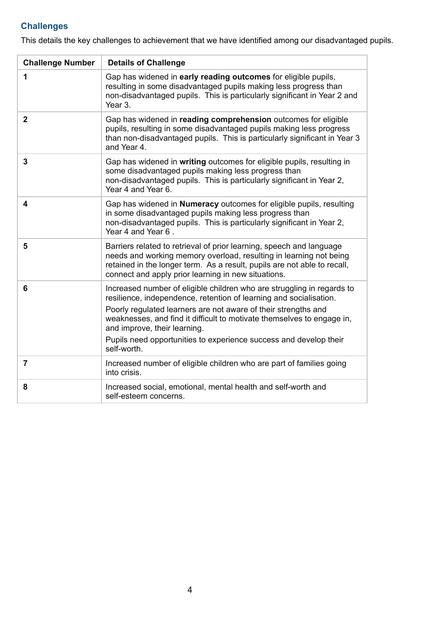# **Challenges**

This details the key challenges to achievement that we have identified among our disadvantaged pupils.

| <b>Challenge Number</b> | <b>Details of Challenge</b>                                                                                                                                                                                                                                                                                                                                                                                  |  |
|-------------------------|--------------------------------------------------------------------------------------------------------------------------------------------------------------------------------------------------------------------------------------------------------------------------------------------------------------------------------------------------------------------------------------------------------------|--|
| 1                       | Gap has widened in early reading outcomes for eligible pupils,<br>resulting in some disadvantaged pupils making less progress than<br>non-disadvantaged pupils. This is particularly significant in Year 2 and<br>Year 3.                                                                                                                                                                                    |  |
| $\overline{2}$          | Gap has widened in reading comprehension outcomes for eligible<br>pupils, resulting in some disadvantaged pupils making less progress<br>than non-disadvantaged pupils. This is particularly significant in Year 3<br>and Year 4.                                                                                                                                                                            |  |
| 3                       | Gap has widened in writing outcomes for eligible pupils, resulting in<br>some disadvantaged pupils making less progress than<br>non-disadvantaged pupils. This is particularly significant in Year 2,<br>Year 4 and Year 6.                                                                                                                                                                                  |  |
| 4                       | Gap has widened in <b>Numeracy</b> outcomes for eligible pupils, resulting<br>in some disadvantaged pupils making less progress than<br>non-disadvantaged pupils. This is particularly significant in Year 2,<br>Year 4 and Year 6.                                                                                                                                                                          |  |
| 5                       | Barriers related to retrieval of prior learning, speech and language<br>needs and working memory overload, resulting in learning not being<br>retained in the longer term. As a result, pupils are not able to recall,<br>connect and apply prior learning in new situations.                                                                                                                                |  |
| 6                       | Increased number of eligible children who are struggling in regards to<br>resilience, independence, retention of learning and socialisation.<br>Poorly regulated learners are not aware of their strengths and<br>weaknesses, and find it difficult to motivate themselves to engage in,<br>and improve, their learning.<br>Pupils need opportunities to experience success and develop their<br>self-worth. |  |
| $\overline{7}$          | Increased number of eligible children who are part of families going<br>into crisis.                                                                                                                                                                                                                                                                                                                         |  |
| 8                       | Increased social, emotional, mental health and self-worth and<br>self-esteem concerns.                                                                                                                                                                                                                                                                                                                       |  |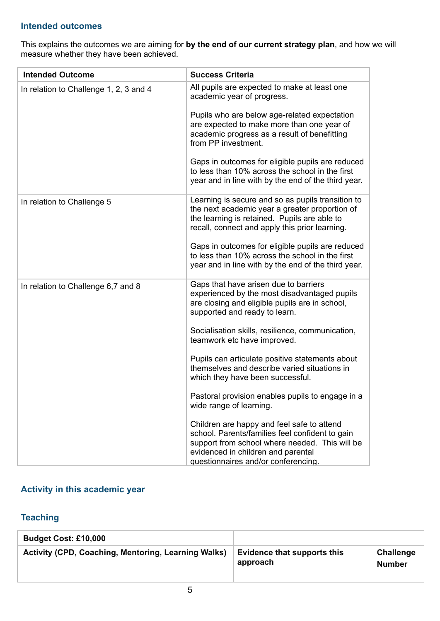#### **Intended outcomes**

This explains the outcomes we are aiming for **by the end of our current strategy plan**, and how we will measure whether they have been achieved.

| <b>Intended Outcome</b>                | <b>Success Criteria</b>                                                                                                                                                                                                      |
|----------------------------------------|------------------------------------------------------------------------------------------------------------------------------------------------------------------------------------------------------------------------------|
| In relation to Challenge 1, 2, 3 and 4 | All pupils are expected to make at least one<br>academic year of progress.                                                                                                                                                   |
|                                        | Pupils who are below age-related expectation<br>are expected to make more than one year of<br>academic progress as a result of benefitting<br>from PP investment.                                                            |
|                                        | Gaps in outcomes for eligible pupils are reduced<br>to less than 10% across the school in the first<br>year and in line with by the end of the third year.                                                                   |
| In relation to Challenge 5             | Learning is secure and so as pupils transition to<br>the next academic year a greater proportion of<br>the learning is retained. Pupils are able to<br>recall, connect and apply this prior learning.                        |
|                                        | Gaps in outcomes for eligible pupils are reduced<br>to less than 10% across the school in the first<br>year and in line with by the end of the third year.                                                                   |
| In relation to Challenge 6,7 and 8     | Gaps that have arisen due to barriers<br>experienced by the most disadvantaged pupils<br>are closing and eligible pupils are in school,<br>supported and ready to learn.                                                     |
|                                        | Socialisation skills, resilience, communication,<br>teamwork etc have improved.                                                                                                                                              |
|                                        | Pupils can articulate positive statements about<br>themselves and describe varied situations in<br>which they have been successful.                                                                                          |
|                                        | Pastoral provision enables pupils to engage in a<br>wide range of learning.                                                                                                                                                  |
|                                        | Children are happy and feel safe to attend<br>school. Parents/families feel confident to gain<br>support from school where needed. This will be<br>evidenced in children and parental<br>questionnaires and/or conferencing. |

#### **Activity in this academic year**

## **Teaching**

| <b>Budget Cost: £10,000</b>                                |                                         |                                   |
|------------------------------------------------------------|-----------------------------------------|-----------------------------------|
| <b>Activity (CPD, Coaching, Mentoring, Learning Walks)</b> | Evidence that supports this<br>approach | <b>Challenge</b><br><b>Number</b> |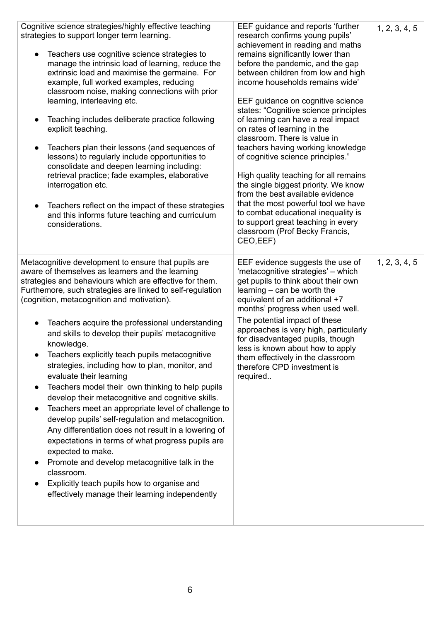| Cognitive science strategies/highly effective teaching<br>strategies to support longer term learning.<br>Teachers use cognitive science strategies to<br>$\bullet$<br>manage the intrinsic load of learning, reduce the<br>extrinsic load and maximise the germaine. For<br>example, full worked examples, reducing<br>classroom noise, making connections with prior<br>learning, interleaving etc.<br>Teaching includes deliberate practice following<br>$\bullet$<br>explicit teaching.<br>Teachers plan their lessons (and sequences of<br>$\bullet$<br>lessons) to regularly include opportunities to<br>consolidate and deepen learning including:<br>retrieval practice; fade examples, elaborative<br>interrogation etc.<br>Teachers reflect on the impact of these strategies<br>$\bullet$<br>and this informs future teaching and curriculum<br>considerations.                                                                                                                                                                                                                          | EEF guidance and reports 'further<br>research confirms young pupils'<br>achievement in reading and maths<br>remains significantly lower than<br>before the pandemic, and the gap<br>between children from low and high<br>income households remains wide'<br>EEF guidance on cognitive science<br>states: "Cognitive science principles<br>of learning can have a real impact<br>on rates of learning in the<br>classroom. There is value in<br>teachers having working knowledge<br>of cognitive science principles."<br>High quality teaching for all remains<br>the single biggest priority. We know<br>from the best available evidence<br>that the most powerful tool we have<br>to combat educational inequality is<br>to support great teaching in every<br>classroom (Prof Becky Francis,<br>CEO, EEF) | 1, 2, 3, 4, 5 |
|----------------------------------------------------------------------------------------------------------------------------------------------------------------------------------------------------------------------------------------------------------------------------------------------------------------------------------------------------------------------------------------------------------------------------------------------------------------------------------------------------------------------------------------------------------------------------------------------------------------------------------------------------------------------------------------------------------------------------------------------------------------------------------------------------------------------------------------------------------------------------------------------------------------------------------------------------------------------------------------------------------------------------------------------------------------------------------------------------|----------------------------------------------------------------------------------------------------------------------------------------------------------------------------------------------------------------------------------------------------------------------------------------------------------------------------------------------------------------------------------------------------------------------------------------------------------------------------------------------------------------------------------------------------------------------------------------------------------------------------------------------------------------------------------------------------------------------------------------------------------------------------------------------------------------|---------------|
| Metacognitive development to ensure that pupils are<br>aware of themselves as learners and the learning<br>strategies and behaviours which are effective for them.<br>Furthemore, such strategies are linked to self-regulation<br>(cognition, metacognition and motivation).<br>Teachers acquire the professional understanding<br>$\bullet$<br>and skills to develop their pupils' metacognitive<br>knowledge.<br>Teachers explicitly teach pupils metacognitive<br>strategies, including how to plan, monitor, and<br>evaluate their learning<br>Teachers model their own thinking to help pupils<br>$\bullet$<br>develop their metacognitive and cognitive skills.<br>Teachers meet an appropriate level of challenge to<br>develop pupils' self-regulation and metacognition.<br>Any differentiation does not result in a lowering of<br>expectations in terms of what progress pupils are<br>expected to make.<br>Promote and develop metacognitive talk in the<br>$\bullet$<br>classroom.<br>Explicitly teach pupils how to organise and<br>effectively manage their learning independently | EEF evidence suggests the use of<br>'metacognitive strategies' - which<br>get pupils to think about their own<br>learning – can be worth the<br>equivalent of an additional +7<br>months' progress when used well.<br>The potential impact of these<br>approaches is very high, particularly<br>for disadvantaged pupils, though<br>less is known about how to apply<br>them effectively in the classroom<br>therefore CPD investment is<br>required                                                                                                                                                                                                                                                                                                                                                           | 1, 2, 3, 4, 5 |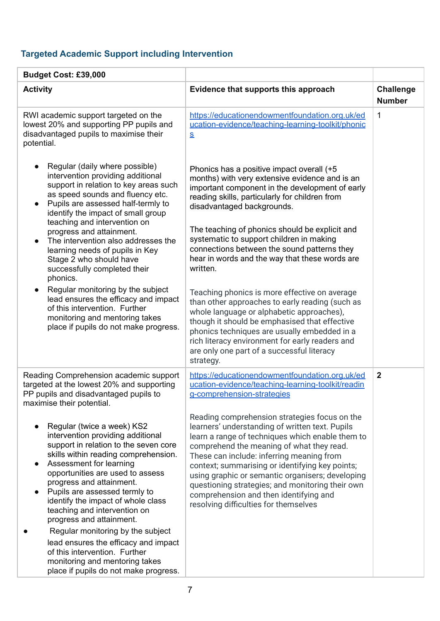# **Targeted Academic Support including Intervention**

| Budget Cost: £39,000                                                                                                                                                                                                                                                                                                                                                                                                                                                                                                                                                    |                                                                                                                                                                                                                                                                                                                                                                                                                                                                                              |                                   |
|-------------------------------------------------------------------------------------------------------------------------------------------------------------------------------------------------------------------------------------------------------------------------------------------------------------------------------------------------------------------------------------------------------------------------------------------------------------------------------------------------------------------------------------------------------------------------|----------------------------------------------------------------------------------------------------------------------------------------------------------------------------------------------------------------------------------------------------------------------------------------------------------------------------------------------------------------------------------------------------------------------------------------------------------------------------------------------|-----------------------------------|
| <b>Activity</b>                                                                                                                                                                                                                                                                                                                                                                                                                                                                                                                                                         | Evidence that supports this approach                                                                                                                                                                                                                                                                                                                                                                                                                                                         | <b>Challenge</b><br><b>Number</b> |
| RWI academic support targeted on the<br>lowest 20% and supporting PP pupils and<br>disadvantaged pupils to maximise their<br>potential.                                                                                                                                                                                                                                                                                                                                                                                                                                 | https://educationendowmentfoundation.org.uk/ed<br>ucation-evidence/teaching-learning-toolkit/phonic<br>$\underline{\mathbf{S}}$                                                                                                                                                                                                                                                                                                                                                              | $\mathbf 1$                       |
| Regular (daily where possible)<br>intervention providing additional<br>support in relation to key areas such<br>as speed sounds and fluency etc.<br>Pupils are assessed half-termly to<br>identify the impact of small group<br>teaching and intervention on<br>progress and attainment.<br>The intervention also addresses the<br>learning needs of pupils in Key<br>Stage 2 who should have<br>successfully completed their<br>phonics.                                                                                                                               | Phonics has a positive impact overall (+5<br>months) with very extensive evidence and is an<br>important component in the development of early<br>reading skills, particularly for children from<br>disadvantaged backgrounds.<br>The teaching of phonics should be explicit and<br>systematic to support children in making<br>connections between the sound patterns they<br>hear in words and the way that these words are<br>written.                                                    |                                   |
| Regular monitoring by the subject<br>lead ensures the efficacy and impact<br>of this intervention. Further<br>monitoring and mentoring takes<br>place if pupils do not make progress.                                                                                                                                                                                                                                                                                                                                                                                   | Teaching phonics is more effective on average<br>than other approaches to early reading (such as<br>whole language or alphabetic approaches),<br>though it should be emphasised that effective<br>phonics techniques are usually embedded in a<br>rich literacy environment for early readers and<br>are only one part of a successful literacy<br>strategy.                                                                                                                                 |                                   |
| Reading Comprehension academic support<br>targeted at the lowest 20% and supporting<br>PP pupils and disadvantaged pupils to<br>maximise their potential.                                                                                                                                                                                                                                                                                                                                                                                                               | https://educationendowmentfoundation.org.uk/ed<br>ucation-evidence/teaching-learning-toolkit/readin<br>g-comprehension-strategies                                                                                                                                                                                                                                                                                                                                                            | $\overline{2}$                    |
| Regular (twice a week) KS2<br>intervention providing additional<br>support in relation to the seven core<br>skills within reading comprehension.<br>Assessment for learning<br>opportunities are used to assess<br>progress and attainment.<br>Pupils are assessed termly to<br>identify the impact of whole class<br>teaching and intervention on<br>progress and attainment.<br>Regular monitoring by the subject<br>lead ensures the efficacy and impact<br>of this intervention. Further<br>monitoring and mentoring takes<br>place if pupils do not make progress. | Reading comprehension strategies focus on the<br>learners' understanding of written text. Pupils<br>learn a range of techniques which enable them to<br>comprehend the meaning of what they read.<br>These can include: inferring meaning from<br>context; summarising or identifying key points;<br>using graphic or semantic organisers; developing<br>questioning strategies; and monitoring their own<br>comprehension and then identifying and<br>resolving difficulties for themselves |                                   |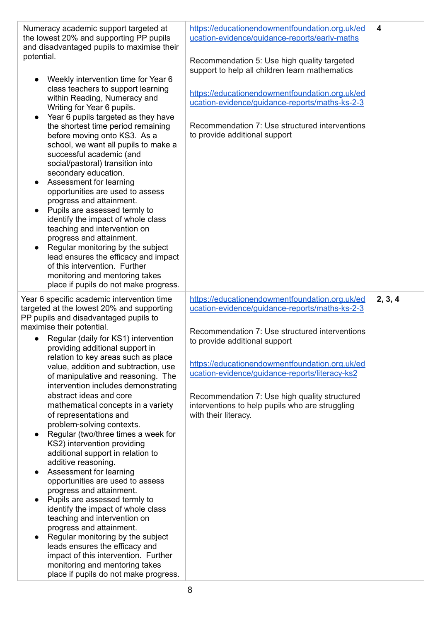| Numeracy academic support targeted at<br>the lowest 20% and supporting PP pupils<br>and disadvantaged pupils to maximise their<br>potential.<br>Weekly intervention time for Year 6<br>class teachers to support learning<br>within Reading, Numeracy and<br>Writing for Year 6 pupils.<br>Year 6 pupils targeted as they have<br>the shortest time period remaining<br>before moving onto KS3. As a<br>school, we want all pupils to make a<br>successful academic (and<br>social/pastoral) transition into<br>secondary education.<br>Assessment for learning<br>$\bullet$<br>opportunities are used to assess<br>progress and attainment.<br>Pupils are assessed termly to<br>identify the impact of whole class<br>teaching and intervention on<br>progress and attainment.<br>Regular monitoring by the subject<br>lead ensures the efficacy and impact<br>of this intervention. Further<br>monitoring and mentoring takes<br>place if pupils do not make progress.                                                                                                               | https://educationendowmentfoundation.org.uk/ed<br>ucation-evidence/guidance-reports/early-maths<br>Recommendation 5: Use high quality targeted<br>support to help all children learn mathematics<br>https://educationendowmentfoundation.org.uk/ed<br>ucation-evidence/guidance-reports/maths-ks-2-3<br>Recommendation 7: Use structured interventions<br>to provide additional support                             | $\overline{\mathbf{4}}$ |
|----------------------------------------------------------------------------------------------------------------------------------------------------------------------------------------------------------------------------------------------------------------------------------------------------------------------------------------------------------------------------------------------------------------------------------------------------------------------------------------------------------------------------------------------------------------------------------------------------------------------------------------------------------------------------------------------------------------------------------------------------------------------------------------------------------------------------------------------------------------------------------------------------------------------------------------------------------------------------------------------------------------------------------------------------------------------------------------|---------------------------------------------------------------------------------------------------------------------------------------------------------------------------------------------------------------------------------------------------------------------------------------------------------------------------------------------------------------------------------------------------------------------|-------------------------|
| Year 6 specific academic intervention time<br>targeted at the lowest 20% and supporting<br>PP pupils and disadvantaged pupils to<br>maximise their potential.<br>Regular (daily for KS1) intervention<br>providing additional support in<br>relation to key areas such as place<br>value, addition and subtraction, use<br>of manipulative and reasoning. The<br>intervention includes demonstrating<br>abstract ideas and core<br>mathematical concepts in a variety<br>of representations and<br>problem-solving contexts.<br>Regular (two/three times a week for<br>KS2) intervention providing<br>additional support in relation to<br>additive reasoning.<br>Assessment for learning<br>opportunities are used to assess<br>progress and attainment.<br>Pupils are assessed termly to<br>identify the impact of whole class<br>teaching and intervention on<br>progress and attainment.<br>Regular monitoring by the subject<br>leads ensures the efficacy and<br>impact of this intervention. Further<br>monitoring and mentoring takes<br>place if pupils do not make progress. | https://educationendowmentfoundation.org.uk/ed<br>ucation-evidence/guidance-reports/maths-ks-2-3<br>Recommendation 7: Use structured interventions<br>to provide additional support<br>https://educationendowmentfoundation.org.uk/ed<br>ucation-evidence/guidance-reports/literacy-ks2<br>Recommendation 7: Use high quality structured<br>interventions to help pupils who are struggling<br>with their literacy. | 2, 3, 4                 |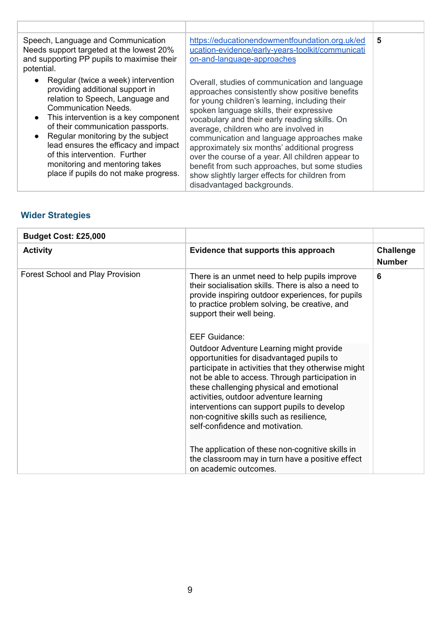| Speech, Language and Communication<br>Needs support targeted at the lowest 20%<br>and supporting PP pupils to maximise their<br>potential.                                                                                                                                                                                                                                                                      | https://educationendowmentfoundation.org.uk/ed<br>ucation-evidence/early-years-toolkit/communicati<br>on-and-language-approaches                                                                                                                                                                                                                                                                                                                                                                                                                                               | 5 |
|-----------------------------------------------------------------------------------------------------------------------------------------------------------------------------------------------------------------------------------------------------------------------------------------------------------------------------------------------------------------------------------------------------------------|--------------------------------------------------------------------------------------------------------------------------------------------------------------------------------------------------------------------------------------------------------------------------------------------------------------------------------------------------------------------------------------------------------------------------------------------------------------------------------------------------------------------------------------------------------------------------------|---|
| Regular (twice a week) intervention<br>providing additional support in<br>relation to Speech, Language and<br><b>Communication Needs.</b><br>This intervention is a key component<br>of their communication passports.<br>Regular monitoring by the subject<br>lead ensures the efficacy and impact<br>of this intervention. Further<br>monitoring and mentoring takes<br>place if pupils do not make progress. | Overall, studies of communication and language<br>approaches consistently show positive benefits<br>for young children's learning, including their<br>spoken language skills, their expressive<br>vocabulary and their early reading skills. On<br>average, children who are involved in<br>communication and language approaches make<br>approximately six months' additional progress<br>over the course of a year. All children appear to<br>benefit from such approaches, but some studies<br>show slightly larger effects for children from<br>disadvantaged backgrounds. |   |

# **Wider Strategies**

| Budget Cost: £25,000                    |                                                                                                                                                                                                                                                                                                                                                                                                                     |                                   |
|-----------------------------------------|---------------------------------------------------------------------------------------------------------------------------------------------------------------------------------------------------------------------------------------------------------------------------------------------------------------------------------------------------------------------------------------------------------------------|-----------------------------------|
| <b>Activity</b>                         | Evidence that supports this approach                                                                                                                                                                                                                                                                                                                                                                                | <b>Challenge</b><br><b>Number</b> |
| <b>Forest School and Play Provision</b> | There is an unmet need to help pupils improve<br>their socialisation skills. There is also a need to<br>provide inspiring outdoor experiences, for pupils<br>to practice problem solving, be creative, and<br>support their well being.                                                                                                                                                                             | 6                                 |
|                                         | <b>EEF Guidance:</b>                                                                                                                                                                                                                                                                                                                                                                                                |                                   |
|                                         | Outdoor Adventure Learning might provide<br>opportunities for disadvantaged pupils to<br>participate in activities that they otherwise might<br>not be able to access. Through participation in<br>these challenging physical and emotional<br>activities, outdoor adventure learning<br>interventions can support pupils to develop<br>non-cognitive skills such as resilience,<br>self-confidence and motivation. |                                   |
|                                         | The application of these non-cognitive skills in<br>the classroom may in turn have a positive effect<br>on academic outcomes.                                                                                                                                                                                                                                                                                       |                                   |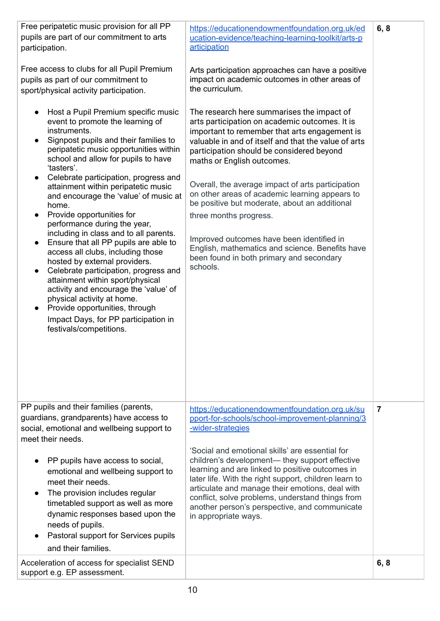| Free peripatetic music provision for all PP<br>pupils are part of our commitment to arts<br>participation.<br>Free access to clubs for all Pupil Premium<br>pupils as part of our commitment to<br>sport/physical activity participation.<br>Host a Pupil Premium specific music<br>$\bullet$<br>event to promote the learning of<br>instruments.<br>Signpost pupils and their families to<br>$\bullet$<br>peripatetic music opportunities within<br>school and allow for pupils to have<br>'tasters'.<br>Celebrate participation, progress and<br>$\bullet$<br>attainment within peripatetic music<br>and encourage the 'value' of music at<br>home.<br>Provide opportunities for<br>$\bullet$<br>performance during the year,<br>including in class and to all parents.<br>Ensure that all PP pupils are able to<br>$\bullet$<br>access all clubs, including those<br>hosted by external providers.<br>Celebrate participation, progress and<br>$\bullet$<br>attainment within sport/physical<br>activity and encourage the 'value' of<br>physical activity at home.<br>Provide opportunities, through<br>$\bullet$<br>Impact Days, for PP participation in<br>festivals/competitions. | https://educationendowmentfoundation.org.uk/ed<br>ucation-evidence/teaching-learning-toolkit/arts-p<br>articipation<br>Arts participation approaches can have a positive<br>impact on academic outcomes in other areas of<br>the curriculum.<br>The research here summarises the impact of<br>arts participation on academic outcomes. It is<br>important to remember that arts engagement is<br>valuable in and of itself and that the value of arts<br>participation should be considered beyond<br>maths or English outcomes.<br>Overall, the average impact of arts participation<br>on other areas of academic learning appears to<br>be positive but moderate, about an additional<br>three months progress.<br>Improved outcomes have been identified in<br>English, mathematics and science. Benefits have<br>been found in both primary and secondary<br>schools. | 6, 8           |
|------------------------------------------------------------------------------------------------------------------------------------------------------------------------------------------------------------------------------------------------------------------------------------------------------------------------------------------------------------------------------------------------------------------------------------------------------------------------------------------------------------------------------------------------------------------------------------------------------------------------------------------------------------------------------------------------------------------------------------------------------------------------------------------------------------------------------------------------------------------------------------------------------------------------------------------------------------------------------------------------------------------------------------------------------------------------------------------------------------------------------------------------------------------------------------------|----------------------------------------------------------------------------------------------------------------------------------------------------------------------------------------------------------------------------------------------------------------------------------------------------------------------------------------------------------------------------------------------------------------------------------------------------------------------------------------------------------------------------------------------------------------------------------------------------------------------------------------------------------------------------------------------------------------------------------------------------------------------------------------------------------------------------------------------------------------------------|----------------|
| PP pupils and their families (parents,<br>guardians, grandparents) have access to<br>social, emotional and wellbeing support to<br>meet their needs.<br>PP pupils have access to social,<br>emotional and wellbeing support to<br>meet their needs.<br>The provision includes regular<br>$\bullet$<br>timetabled support as well as more<br>dynamic responses based upon the<br>needs of pupils.<br>Pastoral support for Services pupils<br>$\bullet$<br>and their families.                                                                                                                                                                                                                                                                                                                                                                                                                                                                                                                                                                                                                                                                                                             | https://educationendowmentfoundation.org.uk/su<br>pport-for-schools/school-improvement-planning/3<br>-wider-strategies<br>'Social and emotional skills' are essential for<br>children's development— they support effective<br>learning and are linked to positive outcomes in<br>later life. With the right support, children learn to<br>articulate and manage their emotions, deal with<br>conflict, solve problems, understand things from<br>another person's perspective, and communicate<br>in appropriate ways.                                                                                                                                                                                                                                                                                                                                                    | $\overline{7}$ |
| Acceleration of access for specialist SEND<br>support e.g. EP assessment.                                                                                                                                                                                                                                                                                                                                                                                                                                                                                                                                                                                                                                                                                                                                                                                                                                                                                                                                                                                                                                                                                                                |                                                                                                                                                                                                                                                                                                                                                                                                                                                                                                                                                                                                                                                                                                                                                                                                                                                                            | 6, 8           |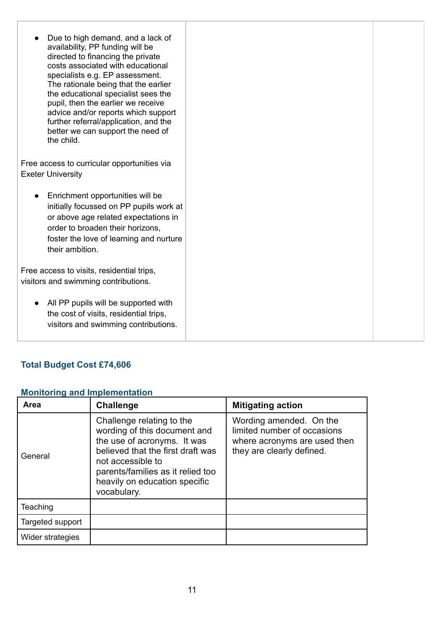| Due to high demand, and a lack of<br>availability, PP funding will be<br>directed to financing the private<br>costs associated with educational<br>specialists e.g. EP assessment.<br>The rationale being that the earlier<br>the educational specialist sees the<br>pupil, then the earlier we receive<br>advice and/or reports which support<br>further referral/application, and the<br>better we can support the need of<br>the child. |  |
|--------------------------------------------------------------------------------------------------------------------------------------------------------------------------------------------------------------------------------------------------------------------------------------------------------------------------------------------------------------------------------------------------------------------------------------------|--|
| Free access to curricular opportunities via<br><b>Exeter University</b>                                                                                                                                                                                                                                                                                                                                                                    |  |
| Enrichment opportunities will be<br>initially focussed on PP pupils work at<br>or above age related expectations in<br>order to broaden their horizons,<br>foster the love of learning and nurture<br>their ambition.                                                                                                                                                                                                                      |  |
| Free access to visits, residential trips,<br>visitors and swimming contributions.                                                                                                                                                                                                                                                                                                                                                          |  |
| All PP pupils will be supported with<br>the cost of visits, residential trips,<br>visitors and swimming contributions.                                                                                                                                                                                                                                                                                                                     |  |

# **Total Budget Cost £74,606**

#### **Monitoring and Implementation**

| Area             | <b>Challenge</b>                                                                                                                                                                                                                        | <b>Mitigating action</b>                                                                                            |
|------------------|-----------------------------------------------------------------------------------------------------------------------------------------------------------------------------------------------------------------------------------------|---------------------------------------------------------------------------------------------------------------------|
| General          | Challenge relating to the<br>wording of this document and<br>the use of acronyms. It was<br>believed that the first draft was<br>not accessible to<br>parents/families as it relied too<br>heavily on education specific<br>vocabulary. | Wording amended. On the<br>limited number of occasions<br>where acronyms are used then<br>they are clearly defined. |
| Teaching         |                                                                                                                                                                                                                                         |                                                                                                                     |
| Targeted support |                                                                                                                                                                                                                                         |                                                                                                                     |
| Wider strategies |                                                                                                                                                                                                                                         |                                                                                                                     |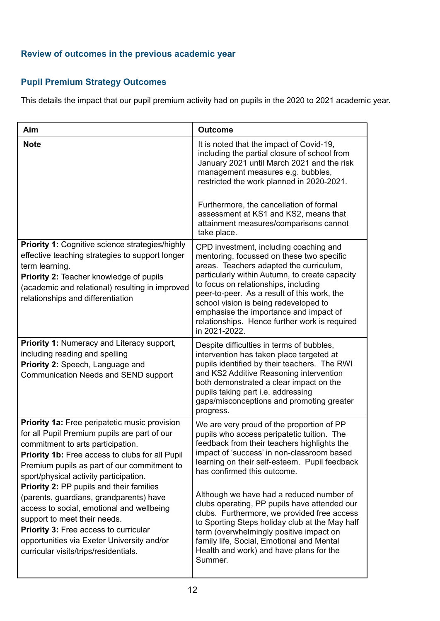#### **Review of outcomes in the previous academic year**

## **Pupil Premium Strategy Outcomes**

This details the impact that our pupil premium activity had on pupils in the 2020 to 2021 academic year.

| Aim                                                                                                                                                                                                                                                                                                                                                                                                                                                                                                                                                                                              | <b>Outcome</b>                                                                                                                                                                                                                                                                                                                                                                                                                                                                                                                                                                                                  |
|--------------------------------------------------------------------------------------------------------------------------------------------------------------------------------------------------------------------------------------------------------------------------------------------------------------------------------------------------------------------------------------------------------------------------------------------------------------------------------------------------------------------------------------------------------------------------------------------------|-----------------------------------------------------------------------------------------------------------------------------------------------------------------------------------------------------------------------------------------------------------------------------------------------------------------------------------------------------------------------------------------------------------------------------------------------------------------------------------------------------------------------------------------------------------------------------------------------------------------|
| <b>Note</b>                                                                                                                                                                                                                                                                                                                                                                                                                                                                                                                                                                                      | It is noted that the impact of Covid-19,<br>including the partial closure of school from<br>January 2021 until March 2021 and the risk<br>management measures e.g. bubbles,<br>restricted the work planned in 2020-2021.<br>Furthermore, the cancellation of formal<br>assessment at KS1 and KS2, means that<br>attainment measures/comparisons cannot                                                                                                                                                                                                                                                          |
| <b>Priority 1: Cognitive science strategies/highly</b><br>effective teaching strategies to support longer<br>term learning.<br><b>Priority 2: Teacher knowledge of pupils</b><br>(academic and relational) resulting in improved<br>relationships and differentiation                                                                                                                                                                                                                                                                                                                            | take place.<br>CPD investment, including coaching and<br>mentoring, focussed on these two specific<br>areas. Teachers adapted the curriculum,<br>particularly within Autumn, to create capacity<br>to focus on relationships, including<br>peer-to-peer. As a result of this work, the<br>school vision is being redeveloped to<br>emphasise the importance and impact of<br>relationships. Hence further work is required<br>in 2021-2022.                                                                                                                                                                     |
| Priority 1: Numeracy and Literacy support,<br>including reading and spelling<br>Priority 2: Speech, Language and<br><b>Communication Needs and SEND support</b>                                                                                                                                                                                                                                                                                                                                                                                                                                  | Despite difficulties in terms of bubbles,<br>intervention has taken place targeted at<br>pupils identified by their teachers. The RWI<br>and KS2 Additive Reasoning intervention<br>both demonstrated a clear impact on the<br>pupils taking part i.e. addressing<br>gaps/misconceptions and promoting greater<br>progress.                                                                                                                                                                                                                                                                                     |
| Priority 1a: Free peripatetic music provision<br>for all Pupil Premium pupils are part of our<br>commitment to arts participation.<br>Priority 1b: Free access to clubs for all Pupil<br>Premium pupils as part of our commitment to<br>sport/physical activity participation.<br><b>Priority 2: PP pupils and their families</b><br>(parents, guardians, grandparents) have<br>access to social, emotional and wellbeing<br>support to meet their needs.<br><b>Priority 3: Free access to curricular</b><br>opportunities via Exeter University and/or<br>curricular visits/trips/residentials. | We are very proud of the proportion of PP<br>pupils who access peripatetic tuition. The<br>feedback from their teachers highlights the<br>impact of 'success' in non-classroom based<br>learning on their self-esteem. Pupil feedback<br>has confirmed this outcome.<br>Although we have had a reduced number of<br>clubs operating, PP pupils have attended our<br>clubs. Furthermore, we provided free access<br>to Sporting Steps holiday club at the May half<br>term (overwhelmingly positive impact on<br>family life, Social, Emotional and Mental<br>Health and work) and have plans for the<br>Summer. |